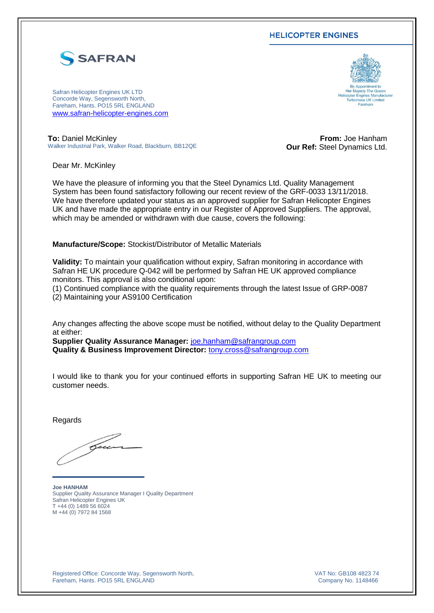## **HELICOPTER ENGINES**



Safran Helicopter Engines UK LTD Concorde Way, Segensworth North, Fareham, Hants. PO15 5RL ENGLAND [www.safran-helicopter-engines.com](http://www.safran-helicopter-engines.com/)



**To:** Daniel McKinley Walker Industrial Park, Walker Road, Blackburn, BB12QE

**From:** Joe Hanham **Our Ref:** Steel Dynamics Ltd.

Dear Mr. McKinley

We have the pleasure of informing you that the Steel Dynamics Ltd. Quality Management System has been found satisfactory following our recent review of the GRF-0033 13/11/2018. We have therefore updated your status as an approved supplier for Safran Helicopter Engines UK and have made the appropriate entry in our Register of Approved Suppliers. The approval, which may be amended or withdrawn with due cause, covers the following:

**Manufacture/Scope:** Stockist/Distributor of Metallic Materials

**Validity:** To maintain your qualification without expiry, Safran monitoring in accordance with Safran HE UK procedure Q-042 will be performed by Safran HE UK approved compliance monitors. This approval is also conditional upon:

(1) Continued compliance with the quality requirements through the latest Issue of GRP-0087 (2) Maintaining your AS9100 Certification

Any changes affecting the above scope must be notified, without delay to the Quality Department at either:

**Supplier Quality Assurance Manager:** [joe.hanham@safrangroup.com](http://tmk-ennov.tm.corp:8080/eDoc/view/1753648/joe.hanham@safrangroup.com) **Quality & Business Improvement Director:** [tony.cross@safrangroup.com](http://tmk-ennov.tm.corp:8080/eDoc/view/1753648/tony.cross@safrangroup.com)

I would like to thank you for your continued efforts in supporting Safran HE UK to meeting our customer needs.

Regards

bu

**\_\_\_\_\_\_\_\_\_\_\_\_\_\_\_\_\_\_\_\_\_**

**Joe HANHAM** Supplier Quality Assurance Manager I Quality Department Safran Helicopter Engines UK T +44 (0) 1489 56 6024 M +44 (0) 7972 84 1568

Registered Office: Concorde Way, Segensworth North, Fareham, Hants. PO15 5RL ENGLAND

VAT No: GB108 4823 74 Company No. 1148466